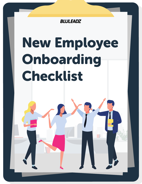

# New Employee Onboarding Checklist

٦Ī.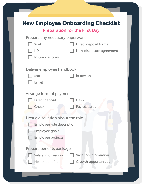|                                  | <b>New Employee Onboarding Checklist</b> |
|----------------------------------|------------------------------------------|
|                                  | <b>Preparation for the First Day</b>     |
| Prepare any necessary paperwork  |                                          |
| $W-4$                            | Direct deposit forms                     |
| $I-9$                            | Non-disclosure agreement                 |
| Insurance forms                  |                                          |
|                                  |                                          |
| Deliver employee handbook        |                                          |
| Mail                             | In person                                |
| Email                            |                                          |
| Arrange form of payment          |                                          |
|                                  |                                          |
| <b>Direct deposit</b>            | Cash                                     |
| Check                            | Payroll cards                            |
|                                  |                                          |
| Host a discussion about the role |                                          |
| <b>Employee role description</b> |                                          |
| <b>Employee goals</b>            |                                          |
| Employee projects                |                                          |
|                                  |                                          |
| Prepare benefits package         |                                          |
| <b>Salary information</b>        | <b>Vacation information</b>              |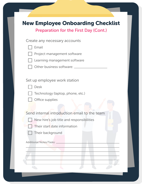## New Employee Onboarding Checklist

Preparation for the First Day (Cont.)

|--|--|--|--|--|--|

Project management software

- Learning management software
- Other business software:

#### Set up employee work station

Desk





Office supplies

Send internal introduction email to the team

- New hire's job title and responsibilities
- 
- Their start date information
	- Their background

Additional Notes/Tasks: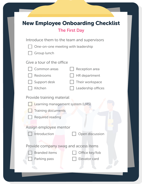| <b>New Employee Onboarding Checklist</b>    |  |  |  |  |  |
|---------------------------------------------|--|--|--|--|--|
| <b>The First Day</b>                        |  |  |  |  |  |
| Introduce them to the team and supervisors  |  |  |  |  |  |
| One-on-one meeting with leadership          |  |  |  |  |  |
| <b>Group lunch</b>                          |  |  |  |  |  |
| Give a tour of the office                   |  |  |  |  |  |
| Common areas<br><b>Reception area</b>       |  |  |  |  |  |
| <b>Restrooms</b><br><b>HR</b> department    |  |  |  |  |  |
| Their workspace<br>Support desk             |  |  |  |  |  |
| <b>Kitchen</b><br>Leadership offices        |  |  |  |  |  |
| <b>Provide training material</b>            |  |  |  |  |  |
| Learning management system (LMS)            |  |  |  |  |  |
| <b>Training documents</b>                   |  |  |  |  |  |
| <b>Required reading</b>                     |  |  |  |  |  |
|                                             |  |  |  |  |  |
| Assign employee mentor                      |  |  |  |  |  |
| Open discussion<br>Introduction             |  |  |  |  |  |
|                                             |  |  |  |  |  |
| Provide company swag and access items       |  |  |  |  |  |
| <b>Branded items</b><br>Office key/fob      |  |  |  |  |  |
| <b>Elevator card</b><br><b>Parking pass</b> |  |  |  |  |  |
|                                             |  |  |  |  |  |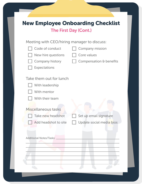| <b>New Employee Onboarding Checklist</b>                                                                                                                                                                  |
|-----------------------------------------------------------------------------------------------------------------------------------------------------------------------------------------------------------|
| <b>The First Day (Cont.)</b>                                                                                                                                                                              |
| Meeting with CEO/hiring manager to discuss:<br>Code of conduct<br><b>Company mission</b><br>New hire questions<br>Core values<br>Compensation & benefits<br><b>Company history</b><br><b>Expectations</b> |
| Take them out for lunch<br>With leadership<br>With mentor<br>With their team                                                                                                                              |
| Miscellaneous tasks<br>Take new headshot<br>Set up email signature                                                                                                                                        |
| Update social media bios<br>Add headshot to site                                                                                                                                                          |
| <b>Additional Notes/Tasks:</b>                                                                                                                                                                            |
|                                                                                                                                                                                                           |
|                                                                                                                                                                                                           |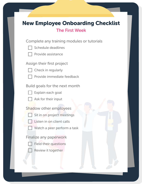# New Employee Onboarding Checklist

### The First Week

Complete any training modules or tutorials

Schedule deadlines

Provide assistance

Assign their first project



Provide immediate feedback

Build goals for the next month

Explain each goal



Ask for their input

Shadow other employees

- Sit in on project meetings
- Listen in on client calls
- Watch a peer perform a task

Finalize any paperwork



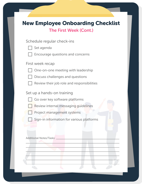|  |  | <b>New Employee Onboarding Checklist</b> |  |
|--|--|------------------------------------------|--|
|--|--|------------------------------------------|--|

## The First Week (Cont.)

Schedule regular check-ins

| Set agenda |
|------------|
|------------|

Encourage questions and concerns

First week recap



One-on-one meeting with leadership

Discuss challenges and questions

Review their job role and responsibilities

Set up a hands-on training

Go over key software platforms

Review internal messaging guidelines



Project management systems

Sign-in information for various platforms

Additional Notes/Tasks: